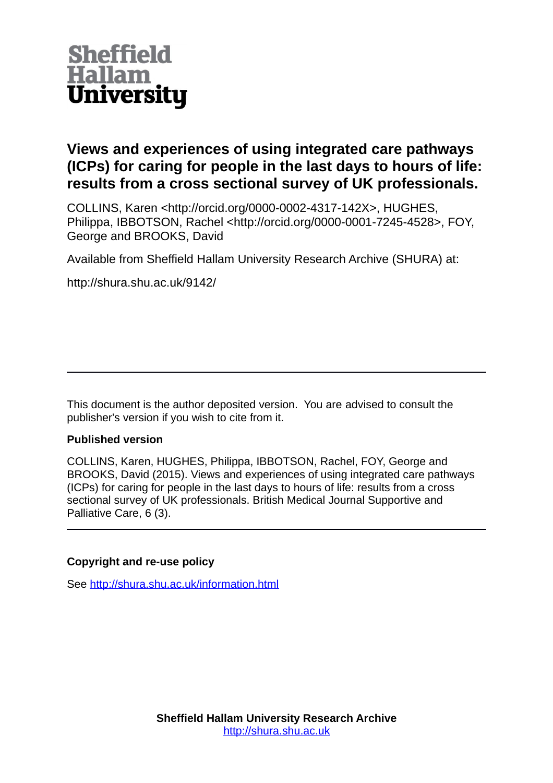

# **Views and experiences of using integrated care pathways (ICPs) for caring for people in the last days to hours of life: results from a cross sectional survey of UK professionals.**

COLLINS, Karen <http://orcid.org/0000-0002-4317-142X>, HUGHES, Philippa, IBBOTSON, Rachel <http://orcid.org/0000-0001-7245-4528>, FOY, George and BROOKS, David

Available from Sheffield Hallam University Research Archive (SHURA) at:

http://shura.shu.ac.uk/9142/

This document is the author deposited version. You are advised to consult the publisher's version if you wish to cite from it.

# **Published version**

COLLINS, Karen, HUGHES, Philippa, IBBOTSON, Rachel, FOY, George and BROOKS, David (2015). Views and experiences of using integrated care pathways (ICPs) for caring for people in the last days to hours of life: results from a cross sectional survey of UK professionals. British Medical Journal Supportive and Palliative Care, 6 (3).

# **Copyright and re-use policy**

See<http://shura.shu.ac.uk/information.html>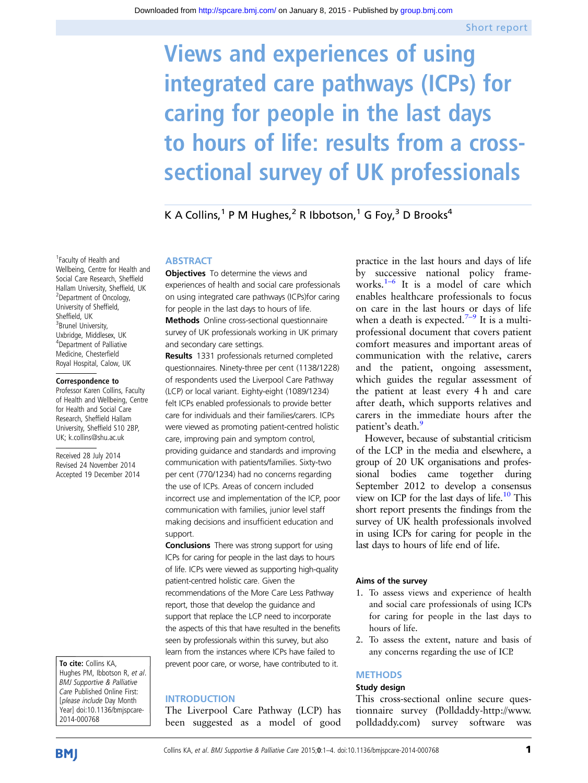# Views and experiences of using integrated care pathways (ICPs) for caring for people in the last days to hours of life: results from a crosssectional survey of UK professionals

K A Collins,<sup>1</sup> P M Hughes,<sup>2</sup> R Ibbotson,<sup>1</sup> G Foy,<sup>3</sup> D Brooks<sup>4</sup>

<sup>1</sup> Faculty of Health and Wellbeing, Centre for Health and Social Care Research, Sheffield Hallam University, Sheffield, UK <sup>2</sup>Department of Oncology, University of Sheffield, Sheffield, UK <sup>3</sup> Brunel University, Uxbridge, Middlesex, UK 4 Department of Palliative Medicine, Chesterfield Royal Hospital, Calow, UK

#### Correspondence to

Professor Karen Collins, Faculty of Health and Wellbeing, Centre for Health and Social Care Research, Sheffield Hallam University, Sheffield S10 2BP, UK; k.collins@shu.ac.uk

Received 28 July 2014 Revised 24 November 2014 Accepted 19 December 2014

To cite: Collins KA,

Hughes PM, Ibbotson R, et al. BMJ Supportive & Palliative Care Published Online First: [please include Day Month Year] doi:10.1136/bmjspcare-2014-000768

## **ABSTRACT**

**Objectives** To determine the views and experiences of health and social care professionals on using integrated care pathways (ICPs)for caring for people in the last days to hours of life. Methods Online cross-sectional questionnaire survey of UK professionals working in UK primary and secondary care settings.

Results 1331 professionals returned completed questionnaires. Ninety-three per cent (1138/1228) of respondents used the Liverpool Care Pathway (LCP) or local variant. Eighty-eight (1089/1234) felt ICPs enabled professionals to provide better care for individuals and their families/carers. ICPs were viewed as promoting patient-centred holistic care, improving pain and symptom control, providing guidance and standards and improving communication with patients/families. Sixty-two per cent (770/1234) had no concerns regarding the use of ICPs. Areas of concern included incorrect use and implementation of the ICP, poor communication with families, junior level staff making decisions and insufficient education and support.

**Conclusions** There was strong support for using ICPs for caring for people in the last days to hours of life. ICPs were viewed as supporting high-quality patient-centred holistic care. Given the recommendations of the More Care Less Pathway report, those that develop the guidance and support that replace the LCP need to incorporate the aspects of this that have resulted in the benefits seen by professionals within this survey, but also learn from the instances where ICPs have failed to prevent poor care, or worse, have contributed to it.

# **INTRODUCTION**

The Liverpool Care Pathway (LCP) has been suggested as a model of good

practice in the last hours and days of life by successive national policy frameworks. $1-6$  It is a model of care which enables healthcare professionals to focus on care in the last hours or days of life when a death is expected.<sup>7–[9](#page-4-0)</sup> It is a multiprofessional document that covers patient comfort measures and important areas of communication with the relative, carers and the patient, ongoing assessment, which guides the regular assessment of the patient at least every 4 h and care after death, which supports relatives and carers in the immediate hours after the patient's death.<sup>[9](#page-4-0)</sup>

However, because of substantial criticism of the LCP in the media and elsewhere, a group of 20 UK organisations and professional bodies came together during September 2012 to develop a consensus view on ICP for the last days of life.<sup>[10](#page-4-0)</sup> This short report presents the findings from the survey of UK health professionals involved in using ICPs for caring for people in the last days to hours of life end of life.

### Aims of the survey

- 1. To assess views and experience of health and social care professionals of using ICPs for caring for people in the last days to hours of life.
- 2. To assess the extent, nature and basis of any concerns regarding the use of ICP.

### **METHODS**

### Study design

This cross-sectional online secure questionnaire survey (Polldaddy[-http://www.](http://www.polldaddy.com) [polldaddy.com\)](http://www.polldaddy.com) survey software was

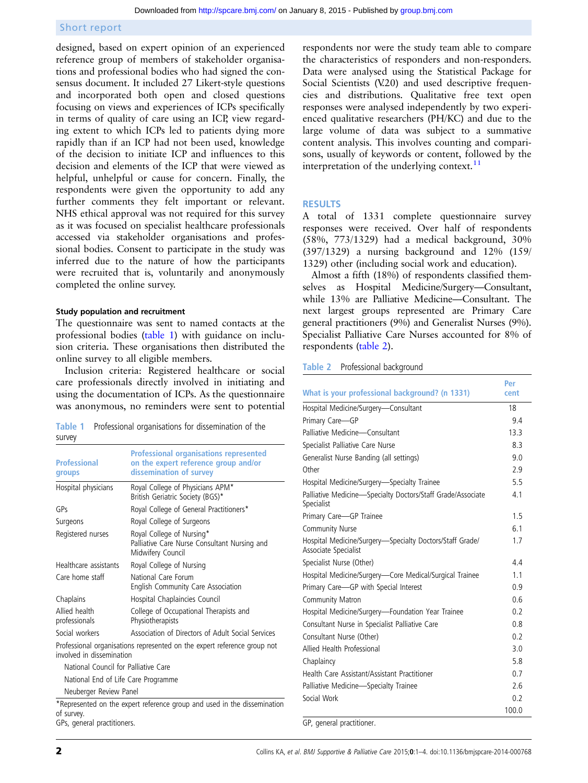# <span id="page-2-0"></span>Short report

designed, based on expert opinion of an experienced reference group of members of stakeholder organisations and professional bodies who had signed the consensus document. It included 27 Likert-style questions and incorporated both open and closed questions focusing on views and experiences of ICPs specifically in terms of quality of care using an ICP, view regarding extent to which ICPs led to patients dying more rapidly than if an ICP had not been used, knowledge of the decision to initiate ICP and influences to this decision and elements of the ICP that were viewed as helpful, unhelpful or cause for concern. Finally, the respondents were given the opportunity to add any further comments they felt important or relevant. NHS ethical approval was not required for this survey as it was focused on specialist healthcare professionals accessed via stakeholder organisations and professional bodies. Consent to participate in the study was inferred due to the nature of how the participants were recruited that is, voluntarily and anonymously completed the online survey.

# Study population and recruitment

The questionnaire was sent to named contacts at the professional bodies (table 1) with guidance on inclusion criteria. These organisations then distributed the online survey to all eligible members.

Inclusion criteria: Registered healthcare or social care professionals directly involved in initiating and using the documentation of ICPs. As the questionnaire was anonymous, no reminders were sent to potential

|        | Table 1 Professional organisations for dissemination of the |
|--------|-------------------------------------------------------------|
| survey |                                                             |

| <b>Professional</b><br>groups                                                                         | <b>Professional organisations represented</b><br>on the expert reference group and/or<br>dissemination of survey |  |  |
|-------------------------------------------------------------------------------------------------------|------------------------------------------------------------------------------------------------------------------|--|--|
| Hospital physicians                                                                                   | Royal College of Physicians APM*<br>British Geriatric Society (BGS)*                                             |  |  |
| GPs                                                                                                   | Royal College of General Practitioners*                                                                          |  |  |
| Surgeons                                                                                              | Royal College of Surgeons                                                                                        |  |  |
| Registered nurses                                                                                     | Royal College of Nursing*<br>Palliative Care Nurse Consultant Nursing and<br>Midwifery Council                   |  |  |
| Healthcare assistants                                                                                 | Royal College of Nursing                                                                                         |  |  |
| Care home staff                                                                                       | National Care Forum<br><b>English Community Care Association</b>                                                 |  |  |
| Chaplains                                                                                             | Hospital Chaplaincies Council                                                                                    |  |  |
| Allied health<br>professionals                                                                        | College of Occupational Therapists and<br>Physiotherapists                                                       |  |  |
| Social workers                                                                                        | Association of Directors of Adult Social Services                                                                |  |  |
| Professional organisations represented on the expert reference group not<br>involved in dissemination |                                                                                                                  |  |  |
| National Council for Palliative Care                                                                  |                                                                                                                  |  |  |
| National End of Life Care Programme                                                                   |                                                                                                                  |  |  |
| Neuberger Review Panel                                                                                |                                                                                                                  |  |  |
|                                                                                                       | *Represented on the expert reference group and used in the dissemination                                         |  |  |

of survey. GPs, general practitioners. respondents nor were the study team able to compare the characteristics of responders and non-responders. Data were analysed using the Statistical Package for Social Scientists (V.20) and used descriptive frequencies and distributions. Qualitative free text open responses were analysed independently by two experienced qualitative researchers (PH/KC) and due to the large volume of data was subject to a summative content analysis. This involves counting and comparisons, usually of keywords or content, followed by the interpretation of the underlying context. $11$ 

# **RESULTS**

A total of 1331 complete questionnaire survey responses were received. Over half of respondents (58%, 773/1329) had a medical background, 30% (397/1329) a nursing background and 12% (159/ 1329) other (including social work and education).

Almost a fifth (18%) of respondents classified themselves as Hospital Medicine/Surgery—Consultant, while 13% are Palliative Medicine—Consultant. The next largest groups represented are Primary Care general practitioners (9%) and Generalist Nurses (9%). Specialist Palliative Care Nurses accounted for 8% of respondents (table 2).

Table 2 Professional background

| What is your professional background? (n 1331)                                   | Per<br>cent |
|----------------------------------------------------------------------------------|-------------|
| Hospital Medicine/Surgery-Consultant                                             | 18          |
| Primary Care-GP                                                                  | 9.4         |
| Palliative Medicine-Consultant                                                   | 13.3        |
| Specialist Palliative Care Nurse                                                 | 8.3         |
| Generalist Nurse Banding (all settings)                                          | 9.0         |
| Other                                                                            | 2.9         |
| Hospital Medicine/Surgery-Specialty Trainee                                      | 5.5         |
| Palliative Medicine-Specialty Doctors/Staff Grade/Associate<br>Specialist        | 4.1         |
| Primary Care-GP Trainee                                                          | 1.5         |
| <b>Community Nurse</b>                                                           | 6.1         |
| Hospital Medicine/Surgery-Specialty Doctors/Staff Grade/<br>Associate Specialist | 1.7         |
| Specialist Nurse (Other)                                                         | 4.4         |
| Hospital Medicine/Surgery-Core Medical/Surgical Trainee                          | 1.1         |
| Primary Care-GP with Special Interest                                            | 0.9         |
| Community Matron                                                                 | 0.6         |
| Hospital Medicine/Surgery-Foundation Year Trainee                                | 0.2         |
| Consultant Nurse in Specialist Palliative Care                                   | 0.8         |
| Consultant Nurse (Other)                                                         | 0.2         |
| Allied Health Professional                                                       | 3.0         |
| Chaplaincy                                                                       | 5.8         |
| Health Care Assistant/Assistant Practitioner                                     | 0.7         |
| Palliative Medicine-Specialty Trainee                                            | 2.6         |
| Social Work                                                                      | 0.2         |
|                                                                                  | 100.0       |
| GP, general practitioner.                                                        |             |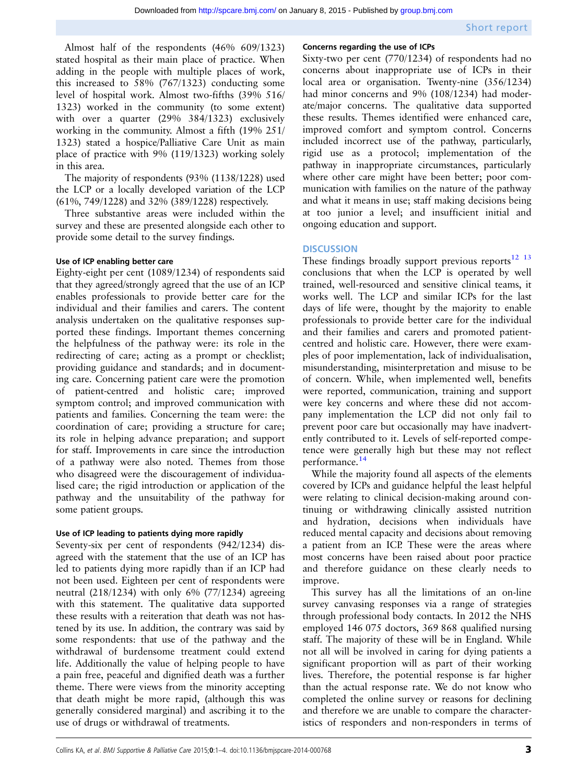Almost half of the respondents (46% 609/1323) stated hospital as their main place of practice. When adding in the people with multiple places of work, this increased to 58% (767/1323) conducting some level of hospital work. Almost two-fifths (39% 516/ 1323) worked in the community (to some extent) with over a quarter (29% 384/1323) exclusively working in the community. Almost a fifth (19% 251/ 1323) stated a hospice/Palliative Care Unit as main place of practice with 9% (119/1323) working solely in this area.

The majority of respondents (93% (1138/1228) used the LCP or a locally developed variation of the LCP (61%, 749/1228) and 32% (389/1228) respectively.

Three substantive areas were included within the survey and these are presented alongside each other to provide some detail to the survey findings.

## Use of ICP enabling better care

Eighty-eight per cent (1089/1234) of respondents said that they agreed/strongly agreed that the use of an ICP enables professionals to provide better care for the individual and their families and carers. The content analysis undertaken on the qualitative responses supported these findings. Important themes concerning the helpfulness of the pathway were: its role in the redirecting of care; acting as a prompt or checklist; providing guidance and standards; and in documenting care. Concerning patient care were the promotion of patient-centred and holistic care; improved symptom control; and improved communication with patients and families. Concerning the team were: the coordination of care; providing a structure for care; its role in helping advance preparation; and support for staff. Improvements in care since the introduction of a pathway were also noted. Themes from those who disagreed were the discouragement of individualised care; the rigid introduction or application of the pathway and the unsuitability of the pathway for some patient groups.

### Use of ICP leading to patients dying more rapidly

Seventy-six per cent of respondents (942/1234) disagreed with the statement that the use of an ICP has led to patients dying more rapidly than if an ICP had not been used. Eighteen per cent of respondents were neutral (218/1234) with only 6% (77/1234) agreeing with this statement. The qualitative data supported these results with a reiteration that death was not hastened by its use. In addition, the contrary was said by some respondents: that use of the pathway and the withdrawal of burdensome treatment could extend life. Additionally the value of helping people to have a pain free, peaceful and dignified death was a further theme. There were views from the minority accepting that death might be more rapid, (although this was generally considered marginal) and ascribing it to the use of drugs or withdrawal of treatments.

# Concerns regarding the use of ICPs

Sixty-two per cent (770/1234) of respondents had no concerns about inappropriate use of ICPs in their local area or organisation. Twenty-nine (356/1234) had minor concerns and 9% (108/1234) had moderate/major concerns. The qualitative data supported these results. Themes identified were enhanced care, improved comfort and symptom control. Concerns included incorrect use of the pathway, particularly, rigid use as a protocol; implementation of the pathway in inappropriate circumstances, particularly where other care might have been better; poor communication with families on the nature of the pathway and what it means in use; staff making decisions being at too junior a level; and insufficient initial and ongoing education and support.

# **DISCUSSION**

These findings broadly support previous reports $12 \tcdot 13$ conclusions that when the LCP is operated by well trained, well-resourced and sensitive clinical teams, it works well. The LCP and similar ICPs for the last days of life were, thought by the majority to enable professionals to provide better care for the individual and their families and carers and promoted patientcentred and holistic care. However, there were examples of poor implementation, lack of individualisation, misunderstanding, misinterpretation and misuse to be of concern. While, when implemented well, benefits were reported, communication, training and support were key concerns and where these did not accompany implementation the LCP did not only fail to prevent poor care but occasionally may have inadvertently contributed to it. Levels of self-reported competence were generally high but these may not reflect performance.<sup>[14](#page-4-0)</sup>

While the majority found all aspects of the elements covered by ICPs and guidance helpful the least helpful were relating to clinical decision-making around continuing or withdrawing clinically assisted nutrition and hydration, decisions when individuals have reduced mental capacity and decisions about removing a patient from an ICP. These were the areas where most concerns have been raised about poor practice and therefore guidance on these clearly needs to improve.

This survey has all the limitations of an on-line survey canvasing responses via a range of strategies through professional body contacts. In 2012 the NHS employed 146 075 doctors, 369 868 qualified nursing staff. The majority of these will be in England. While not all will be involved in caring for dying patients a significant proportion will as part of their working lives. Therefore, the potential response is far higher than the actual response rate. We do not know who completed the online survey or reasons for declining and therefore we are unable to compare the characteristics of responders and non-responders in terms of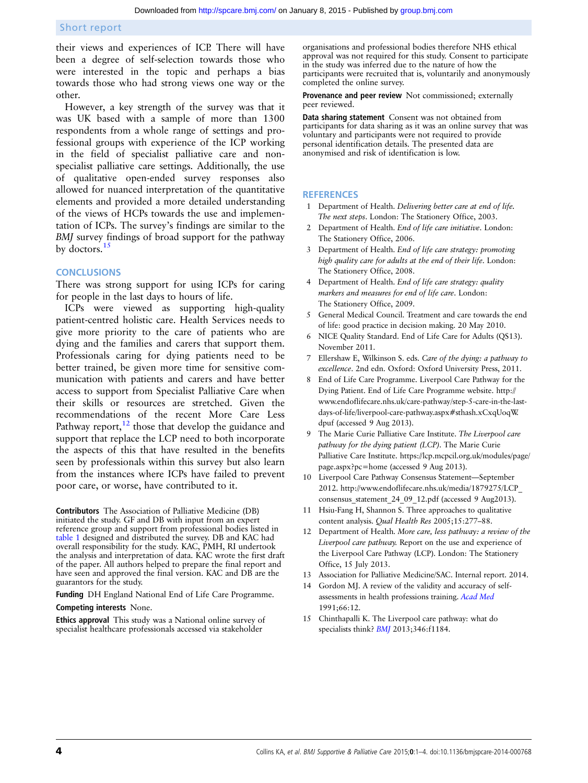<span id="page-4-0"></span>their views and experiences of ICP. There will have been a degree of self-selection towards those who were interested in the topic and perhaps a bias towards those who had strong views one way or the other.

However, a key strength of the survey was that it was UK based with a sample of more than 1300 respondents from a whole range of settings and professional groups with experience of the ICP working in the field of specialist palliative care and nonspecialist palliative care settings. Additionally, the use of qualitative open-ended survey responses also allowed for nuanced interpretation of the quantitative elements and provided a more detailed understanding of the views of HCPs towards the use and implementation of ICPs. The survey's findings are similar to the BMJ survey findings of broad support for the pathway by doctors.<sup>15</sup>

## **CONCLUSIONS**

There was strong support for using ICPs for caring for people in the last days to hours of life.

ICPs were viewed as supporting high-quality patient-centred holistic care. Health Services needs to give more priority to the care of patients who are dying and the families and carers that support them. Professionals caring for dying patients need to be better trained, be given more time for sensitive communication with patients and carers and have better access to support from Specialist Palliative Care when their skills or resources are stretched. Given the recommendations of the recent More Care Less Pathway report, $12$  those that develop the guidance and support that replace the LCP need to both incorporate the aspects of this that have resulted in the benefits seen by professionals within this survey but also learn from the instances where ICPs have failed to prevent poor care, or worse, have contributed to it.

Contributors The Association of Palliative Medicine (DB) initiated the study. GF and DB with input from an expert reference group and support from professional bodies listed in [table 1](#page-2-0) designed and distributed the survey. DB and KAC had overall responsibility for the study. KAC, PMH, RI undertook the analysis and interpretation of data. KAC wrote the first draft of the paper. All authors helped to prepare the final report and have seen and approved the final version. KAC and DB are the guarantors for the study.

Funding DH England National End of Life Care Programme.

#### Competing interests None.

Ethics approval This study was a National online survey of specialist healthcare professionals accessed via stakeholder

organisations and professional bodies therefore NHS ethical approval was not required for this study. Consent to participate in the study was inferred due to the nature of how the participants were recruited that is, voluntarily and anonymously completed the online survey.

Provenance and peer review Not commissioned; externally peer reviewed.

Data sharing statement Consent was not obtained from participants for data sharing as it was an online survey that was voluntary and participants were not required to provide personal identification details. The presented data are anonymised and risk of identification is low.

#### **REFERENCES**

- 1 Department of Health. Delivering better care at end of life. The next steps. London: The Stationery Office, 2003.
- 2 Department of Health. End of life care initiative. London: The Stationery Office, 2006.
- 3 Department of Health. End of life care strategy: promoting high quality care for adults at the end of their life. London: The Stationery Office, 2008.
- 4 Department of Health. End of life care strategy: quality markers and measures for end of life care. London: The Stationery Office, 2009.
- 5 General Medical Council. Treatment and care towards the end of life: good practice in decision making. 20 May 2010.
- 6 NICE Quality Standard. End of Life Care for Adults (QS13). November 2011.
- 7 Ellershaw E, Wilkinson S. eds. Care of the dying: a pathway to excellence. 2nd edn. Oxford: Oxford University Press, 2011.
- End of Life Care Programme. Liverpool Care Pathway for the Dying Patient. End of Life Care Programme website. [http://](http://www.endoflifecare.nhs.uk/care-pathway/step-5-care-in-the-last-days-of-life/liverpool-care-pathway.aspx#sthash.xCxqUoqW.dpuf) [www.endoflifecare.nhs.uk/care-pathway/step-5-care-in-the-last](http://www.endoflifecare.nhs.uk/care-pathway/step-5-care-in-the-last-days-of-life/liverpool-care-pathway.aspx#sthash.xCxqUoqW.dpuf)[days-of-life/liverpool-care-pathway.aspx#sthash.xCxqUoqW.](http://www.endoflifecare.nhs.uk/care-pathway/step-5-care-in-the-last-days-of-life/liverpool-care-pathway.aspx#sthash.xCxqUoqW.dpuf) [dpuf](http://www.endoflifecare.nhs.uk/care-pathway/step-5-care-in-the-last-days-of-life/liverpool-care-pathway.aspx#sthash.xCxqUoqW.dpuf) (accessed 9 Aug 2013).
- 9 The Marie Curie Palliative Care Institute. The Liverpool care pathway for the dying patient (LCP). The Marie Curie Palliative Care Institute. [https://lcp.mcpcil.org.uk/modules/page/](https://lcp.mcpcil.org.uk/modules/page/page.aspx?pc=home) [page.aspx?pc=home](https://lcp.mcpcil.org.uk/modules/page/page.aspx?pc=home) (accessed 9 Aug 2013).
- 10 Liverpool Care Pathway Consensus Statement—September 2012. [http://www.endoflifecare.nhs.uk/media/1879275/LCP\\_](http://www.endoflifecare.nhs.uk/media/1879275/LCP_consensus_statement_24_09_12.pdf) [consensus\\_statement\\_24\\_09\\_12.pdf](http://www.endoflifecare.nhs.uk/media/1879275/LCP_consensus_statement_24_09_12.pdf) (accessed 9 Aug2013).
- 11 Hsiu-Fang H, Shannon S. Three approaches to qualitative content analysis. Qual Health Res 2005;15:277–88.
- 12 Department of Health. More care, less pathway: a review of the Liverpool care pathway. Report on the use and experience of the Liverpool Care Pathway (LCP). London: The Stationery Office, 15 July 2013.
- 13 Association for Palliative Medicine/SAC. Internal report. 2014.
- 14 Gordon MJ. A review of the validity and accuracy of selfassessments in health professions training. [Acad Med](http://dx.doi.org/10.1097/00001888-199112000-00012) 1991;66:12.
- 15 Chinthapalli K. The Liverpool care pathway: what do specialists think? **[BMJ](http://dx.doi.org/10.1136/bmj.f1184)** 2013;346:f1184.